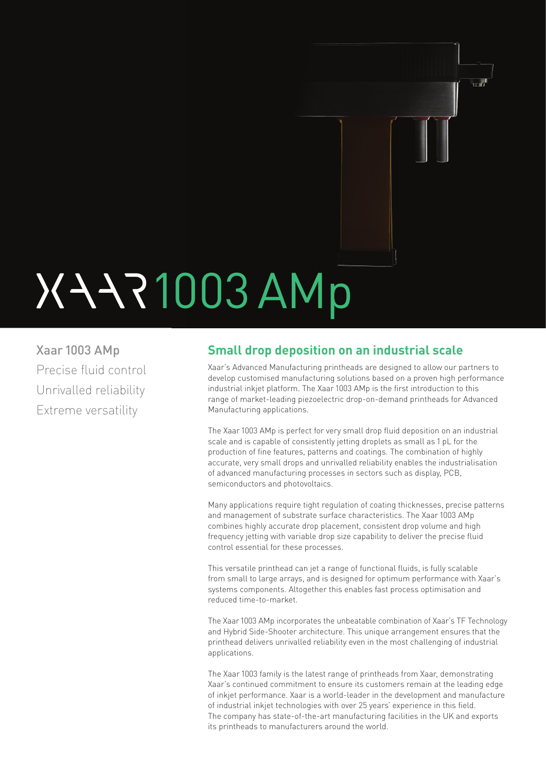# 1003 AMp

Xaar 1003 AMp Precise fluid control Unrivalled reliability Extreme versatility

# **Small drop deposition on an industrial scale**

Xaar's Advanced Manufacturing printheads are designed to allow our partners to develop customised manufacturing solutions based on a proven high performance industrial inkjet platform. The Xaar 1003 AMp is the first introduction to this range of market-leading piezoelectric drop-on-demand printheads for Advanced Manufacturing applications.

 $\mathbf{u}$ 

The Xaar 1003 AMp is perfect for very small drop fluid deposition on an industrial scale and is capable of consistently jetting droplets as small as 1 pL for the production of fine features, patterns and coatings. The combination of highly accurate, very small drops and unrivalled reliability enables the industrialisation of advanced manufacturing processes in sectors such as display, PCB, semiconductors and photovoltaics.

Many applications require tight regulation of coating thicknesses, precise patterns and management of substrate surface characteristics. The Xaar 1003 AMp combines highly accurate drop placement, consistent drop volume and high frequency jetting with variable drop size capability to deliver the precise fluid control essential for these processes.

This versatile printhead can jet a range of functional fluids, is fully scalable from small to large arrays, and is designed for optimum performance with Xaar's systems components. Altogether this enables fast process optimisation and reduced time-to-market.

The Xaar 1003 AMp incorporates the unbeatable combination of Xaar's TF Technology and Hybrid Side-Shooter architecture. This unique arrangement ensures that the printhead delivers unrivalled reliability even in the most challenging of industrial applications.

The Xaar 1003 family is the latest range of printheads from Xaar, demonstrating Xaar's continued commitment to ensure its customers remain at the leading edge of inkjet performance. Xaar is a world-leader in the development and manufacture of industrial inkjet technologies with over 25 years' experience in this field. The company has state-of-the-art manufacturing facilities in the UK and exports its printheads to manufacturers around the world.